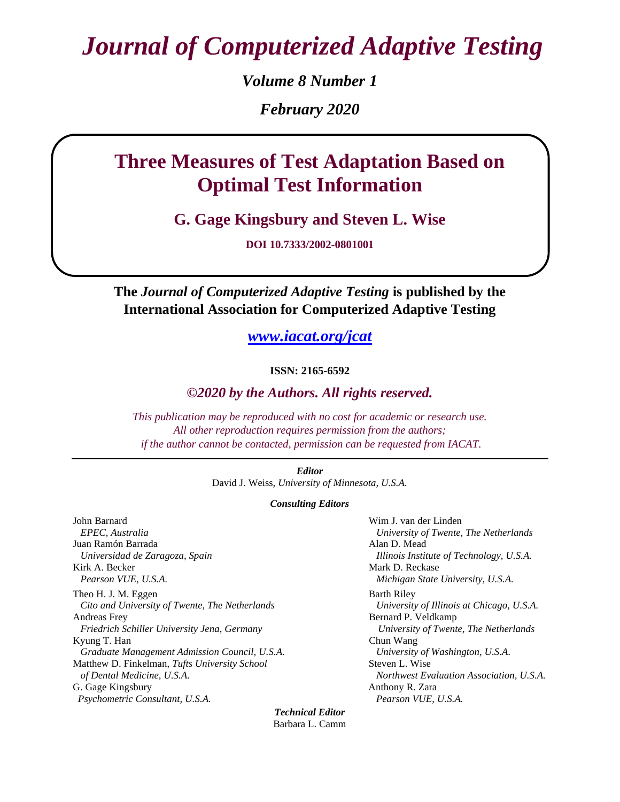*Journal of Computerized Adaptive Testing*

*Volume 8 Number 1 February 2020*

# **Three Measures of Test Adaptation Based on Optimal Test Information**

**G. Gage Kingsbury and Steven L. Wise**

**DOI 10.7333/2002-0801001**

**The** *Journal of Computerized Adaptive Testing* **is published by the International Association for Computerized Adaptive Testing**

*[www.iacat.org/jcat](file:///C:/Documents%20and%20Settings/djweiss/Desktop/www.iacat.org/jcat)*

**ISSN: 2165-6592**

# *©2020 by the Authors. All rights reserved.*

*This publication may be reproduced with no cost for academic or research use. All other reproduction requires permission from the authors; if the author cannot be contacted, permission can be requested from IACAT.*

> *Editor* David J. Weiss, *University of Minnesota, U.S.A.*

#### *Consulting Editors*

John Barnard  *EPEC, Australia* Juan Ramón Barrada  *Universidad de Zaragoza, Spain* Kirk A. Becker *Pearson VUE, U.S.A.* Theo H. J. M. Eggen *Cito and University of Twente, The Netherlands* Andreas Frey *Friedrich Schiller University Jena, Germany* Kyung T. Han *Graduate Management Admission Council, U.S.A.* Matthew D. Finkelman, *Tufts University School of Dental Medicine, U.S.A.* G. Gage Kingsbury  *Psychometric Consultant, U.S.A.*

Wim J. van der Linden *University of Twente, The Netherlands* Alan D. Mead *Illinois Institute of Technology, U.S.A.* Mark D. Reckase *Michigan State University, U.S.A.* Barth Riley *University of Illinois at Chicago, U.S.A.* Bernard P. Veldkamp *University of Twente, The Netherlands* Chun Wang *University of Washington, U.S.A.* Steven L. Wise *Northwest Evaluation Association, U.S.A.* Anthony R. Zara *Pearson VUE, U.S.A.*

*Technical Editor* Barbara L. Camm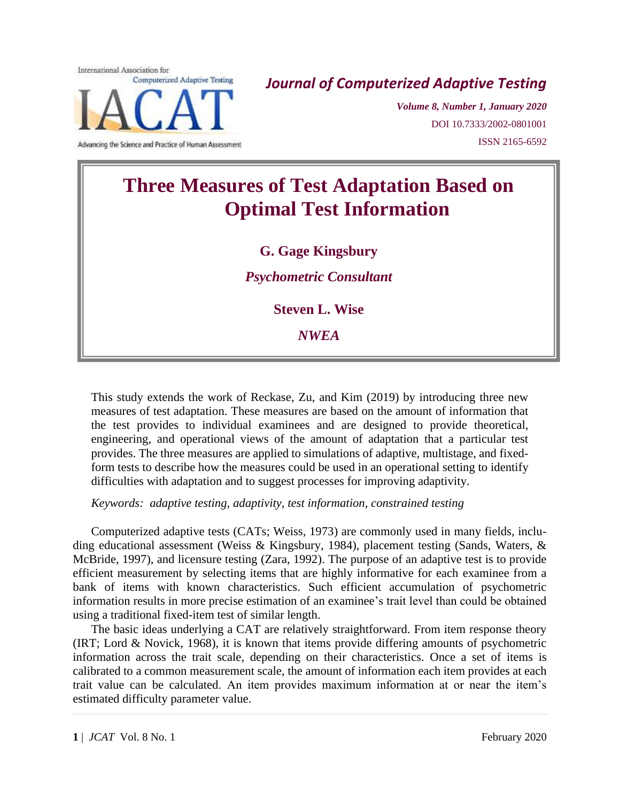International Association for **Computerized Adaptive Testing** 

Advancing the Science and Practice of Human Assessment

*Journal of Computerized Adaptive Testing*

*Volume 8, Number 1, January 2020* DOI 10.7333/2002-0801001 ISSN 2165-6592

# **Three Measures of Test Adaptation Based on Optimal Test Information**

# **G. Gage Kingsbury**

*Psychometric Consultant*

**Steven L. Wise**

*NWEA*

This study extends the work of Reckase, Zu, and Kim (2019) by introducing three new measures of test adaptation. These measures are based on the amount of information that the test provides to individual examinees and are designed to provide theoretical, engineering, and operational views of the amount of adaptation that a particular test provides. The three measures are applied to simulations of adaptive, multistage, and fixedform tests to describe how the measures could be used in an operational setting to identify difficulties with adaptation and to suggest processes for improving adaptivity.

*Keywords: adaptive testing, adaptivity, test information, constrained testing*

Computerized adaptive tests (CATs; Weiss, 1973) are commonly used in many fields, including educational assessment (Weiss & Kingsbury, 1984), placement testing (Sands, Waters, & McBride, 1997), and licensure testing (Zara, 1992). The purpose of an adaptive test is to provide efficient measurement by selecting items that are highly informative for each examinee from a bank of items with known characteristics. Such efficient accumulation of psychometric information results in more precise estimation of an examinee's trait level than could be obtained using a traditional fixed-item test of similar length.

The basic ideas underlying a CAT are relatively straightforward. From item response theory (IRT; Lord & Novick, 1968), it is known that items provide differing amounts of psychometric information across the trait scale, depending on their characteristics. Once a set of items is calibrated to a common measurement scale, the amount of information each item provides at each trait value can be calculated. An item provides maximum information at or near the item's estimated difficulty parameter value.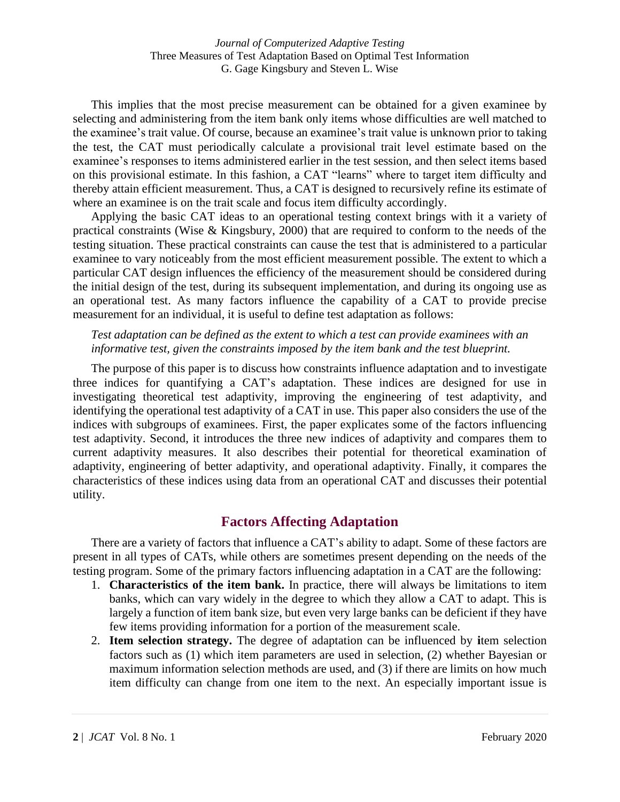This implies that the most precise measurement can be obtained for a given examinee by selecting and administering from the item bank only items whose difficulties are well matched to the examinee's trait value. Of course, because an examinee's trait value is unknown prior to taking the test, the CAT must periodically calculate a provisional trait level estimate based on the examinee's responses to items administered earlier in the test session, and then select items based on this provisional estimate. In this fashion, a CAT "learns" where to target item difficulty and thereby attain efficient measurement. Thus, a CAT is designed to recursively refine its estimate of where an examinee is on the trait scale and focus item difficulty accordingly.

Applying the basic CAT ideas to an operational testing context brings with it a variety of practical constraints (Wise & Kingsbury, 2000) that are required to conform to the needs of the testing situation. These practical constraints can cause the test that is administered to a particular examinee to vary noticeably from the most efficient measurement possible. The extent to which a particular CAT design influences the efficiency of the measurement should be considered during the initial design of the test, during its subsequent implementation, and during its ongoing use as an operational test. As many factors influence the capability of a CAT to provide precise measurement for an individual, it is useful to define test adaptation as follows:

#### *Test adaptation can be defined as the extent to which a test can provide examinees with an informative test, given the constraints imposed by the item bank and the test blueprint.*

The purpose of this paper is to discuss how constraints influence adaptation and to investigate three indices for quantifying a CAT's adaptation. These indices are designed for use in investigating theoretical test adaptivity, improving the engineering of test adaptivity, and identifying the operational test adaptivity of a CAT in use. This paper also considers the use of the indices with subgroups of examinees. First, the paper explicates some of the factors influencing test adaptivity. Second, it introduces the three new indices of adaptivity and compares them to current adaptivity measures. It also describes their potential for theoretical examination of adaptivity, engineering of better adaptivity, and operational adaptivity. Finally, it compares the characteristics of these indices using data from an operational CAT and discusses their potential utility.

# **Factors Affecting Adaptation**

There are a variety of factors that influence a CAT's ability to adapt. Some of these factors are present in all types of CATs, while others are sometimes present depending on the needs of the testing program. Some of the primary factors influencing adaptation in a CAT are the following:

- 1. **Characteristics of the item bank.** In practice, there will always be limitations to item banks, which can vary widely in the degree to which they allow a CAT to adapt. This is largely a function of item bank size, but even very large banks can be deficient if they have few items providing information for a portion of the measurement scale.
- 2. **Item selection strategy.** The degree of adaptation can be influenced by **i**tem selection factors such as (1) which item parameters are used in selection, (2) whether Bayesian or maximum information selection methods are used, and (3) if there are limits on how much item difficulty can change from one item to the next. An especially important issue is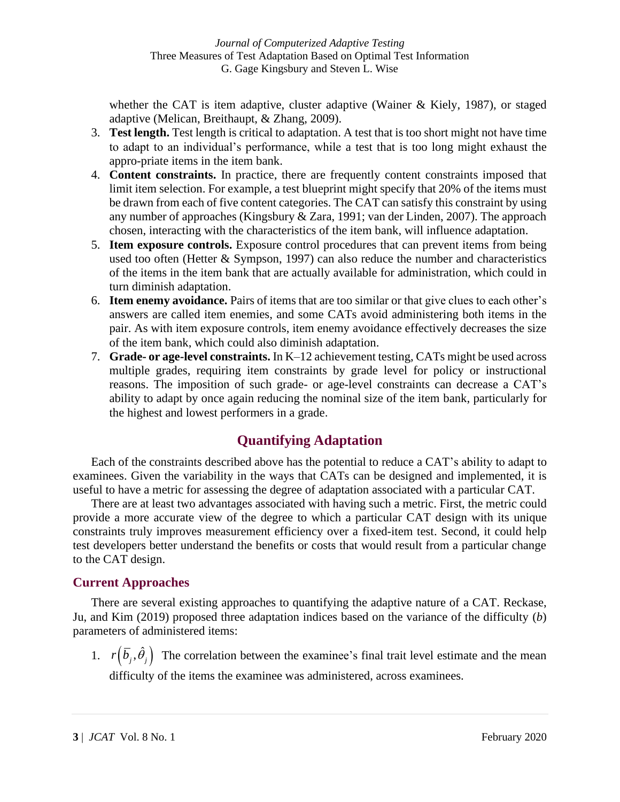whether the CAT is item adaptive, cluster adaptive (Wainer  $\&$  Kiely, 1987), or staged adaptive (Melican, Breithaupt, & Zhang, 2009).

- 3. **Test length.** Test length is critical to adaptation. A test that is too short might not have time to adapt to an individual's performance, while a test that is too long might exhaust the appro-priate items in the item bank.
- 4. **Content constraints.** In practice, there are frequently content constraints imposed that limit item selection. For example, a test blueprint might specify that 20% of the items must be drawn from each of five content categories. The CAT can satisfy this constraint by using any number of approaches (Kingsbury & Zara, 1991; van der Linden, 2007). The approach chosen, interacting with the characteristics of the item bank, will influence adaptation.
- 5. **Item exposure controls.** Exposure control procedures that can prevent items from being used too often (Hetter & Sympson, 1997) can also reduce the number and characteristics of the items in the item bank that are actually available for administration, which could in turn diminish adaptation.
- 6. **Item enemy avoidance.** Pairs of items that are too similar or that give clues to each other's answers are called item enemies, and some CATs avoid administering both items in the pair. As with item exposure controls, item enemy avoidance effectively decreases the size of the item bank, which could also diminish adaptation.
- 7. **Grade- or age-level constraints.** In K–12 achievement testing, CATs might be used across multiple grades, requiring item constraints by grade level for policy or instructional reasons. The imposition of such grade- or age-level constraints can decrease a CAT's ability to adapt by once again reducing the nominal size of the item bank, particularly for the highest and lowest performers in a grade.

# **Quantifying Adaptation**

Each of the constraints described above has the potential to reduce a CAT's ability to adapt to examinees. Given the variability in the ways that CATs can be designed and implemented, it is useful to have a metric for assessing the degree of adaptation associated with a particular CAT.

There are at least two advantages associated with having such a metric. First, the metric could provide a more accurate view of the degree to which a particular CAT design with its unique constraints truly improves measurement efficiency over a fixed-item test. Second, it could help test developers better understand the benefits or costs that would result from a particular change to the CAT design.

# **Current Approaches**

There are several existing approaches to quantifying the adaptive nature of a CAT. Reckase, Ju, and Kim (2019) proposed three adaptation indices based on the variance of the difficulty (*b*) parameters of administered items:

1.  $r(\bar{b}_j, \hat{\theta}_j)$  The correlation between the examinee's final trait level estimate and the mean difficulty of the items the examinee was administered, across examinees.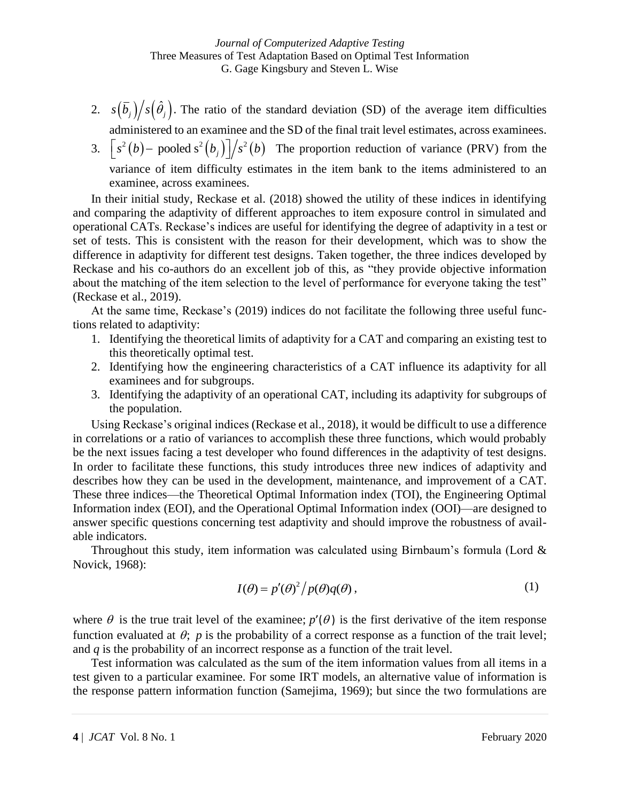- 2.  $s(\bar{b}_j)/s(\hat{\theta}_j)$ . The ratio of the standard deviation (SD) of the average item difficulties administered to an examinee and the SD of the final trait level estimates, across examinees.
- administered to an examinee and the SD of the final trait level estimates, across examinees.<br>3.  $\left[ s^2(b) \text{pooled } s^2(b_j) \right] / s^2(b)$  The proportion reduction of variance (PRV) from the variance of item difficulty estimates in the item bank to the items administered to an examinee, across examinees.

In their initial study, Reckase et al. (2018) showed the utility of these indices in identifying and comparing the adaptivity of different approaches to item exposure control in simulated and operational CATs. Reckase's indices are useful for identifying the degree of adaptivity in a test or set of tests. This is consistent with the reason for their development, which was to show the difference in adaptivity for different test designs. Taken together, the three indices developed by Reckase and his co-authors do an excellent job of this, as "they provide objective information about the matching of the item selection to the level of performance for everyone taking the test" (Reckase et al., 2019).

At the same time, Reckase's (2019) indices do not facilitate the following three useful functions related to adaptivity:

- 1. Identifying the theoretical limits of adaptivity for a CAT and comparing an existing test to this theoretically optimal test.
- 2. Identifying how the engineering characteristics of a CAT influence its adaptivity for all examinees and for subgroups.
- 3. Identifying the adaptivity of an operational CAT, including its adaptivity for subgroups of the population.

Using Reckase's original indices (Reckase et al., 2018), it would be difficult to use a difference in correlations or a ratio of variances to accomplish these three functions, which would probably be the next issues facing a test developer who found differences in the adaptivity of test designs. In order to facilitate these functions, this study introduces three new indices of adaptivity and describes how they can be used in the development, maintenance, and improvement of a CAT. These three indices—the Theoretical Optimal Information index (TOI), the Engineering Optimal Information index (EOI), and the Operational Optimal Information index (OOI)—are designed to answer specific questions concerning test adaptivity and should improve the robustness of available indicators.

Throughout this study, item information was calculated using Birnbaum's formula (Lord  $\&$ Novick, 1968):

$$
I(\theta) = p'(\theta)^2 / p(\theta)q(\theta),
$$
\n(1)

where  $\theta$  is the true trait level of the examinee;  $p'(\theta)$  is the first derivative of the item response function evaluated at  $\theta$ ;  $p$  is the probability of a correct response as a function of the trait level; and *q* is the probability of an incorrect response as a function of the trait level.

Test information was calculated as the sum of the item information values from all items in a test given to a particular examinee. For some IRT models, an alternative value of information is the response pattern information function (Samejima, 1969); but since the two formulations are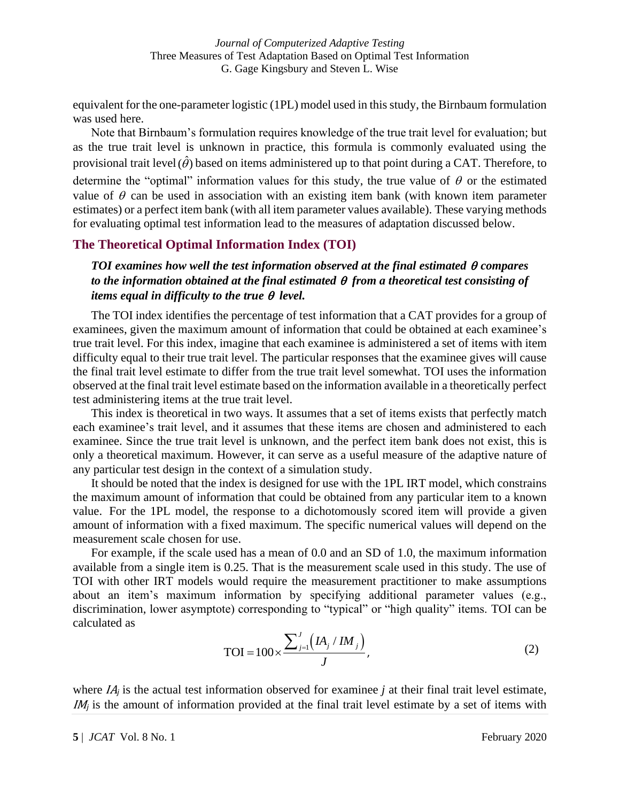equivalent for the one-parameter logistic (1PL) model used in this study, the Birnbaum formulation was used here.

Note that Birnbaum's formulation requires knowledge of the true trait level for evaluation; but as the true trait level is unknown in practice, this formula is commonly evaluated using the provisional trait level  $(\hat{\theta})$  based on items administered up to that point during a CAT. Therefore, to determine the "optimal" information values for this study, the true value of  $\theta$  or the estimated value of  $\theta$  can be used in association with an existing item bank (with known item parameter estimates) or a perfect item bank (with all item parameter values available). These varying methods for evaluating optimal test information lead to the measures of adaptation discussed below.

# **The Theoretical Optimal Information Index (TOI)**

*TOI examines how well the test information observed at the final estimated compares to the information obtained at the final estimated from a theoretical test consisting of items equal in difficulty to the true*  $\theta$  *level.* 

The TOI index identifies the percentage of test information that a CAT provides for a group of examinees, given the maximum amount of information that could be obtained at each examinee's true trait level. For this index, imagine that each examinee is administered a set of items with item difficulty equal to their true trait level. The particular responses that the examinee gives will cause the final trait level estimate to differ from the true trait level somewhat. TOI uses the information observed at the final trait level estimate based on the information available in a theoretically perfect test administering items at the true trait level.

This index is theoretical in two ways. It assumes that a set of items exists that perfectly match each examinee's trait level, and it assumes that these items are chosen and administered to each examinee. Since the true trait level is unknown, and the perfect item bank does not exist, this is only a theoretical maximum. However, it can serve as a useful measure of the adaptive nature of any particular test design in the context of a simulation study.

It should be noted that the index is designed for use with the 1PL IRT model, which constrains the maximum amount of information that could be obtained from any particular item to a known value. For the 1PL model, the response to a dichotomously scored item will provide a given amount of information with a fixed maximum. The specific numerical values will depend on the measurement scale chosen for use.

For example, if the scale used has a mean of 0.0 and an SD of 1.0, the maximum information available from a single item is 0.25. That is the measurement scale used in this study. The use of TOI with other IRT models would require the measurement practitioner to make assumptions about an item's maximum information by specifying additional parameter values (e.g., discrimination, lower asymptote) corresponding to "typical" or "high quality" items. TOI can be calculated as

$$
TOI = 100 \times \frac{\sum_{j=1}^{J} (IA_j / IM_j)}{J},
$$
\n(2)

where IA*<sup>j</sup>* is the actual test information observed for examinee *j* at their final trait level estimate, IM<sub>i</sub> is the amount of information provided at the final trait level estimate by a set of items with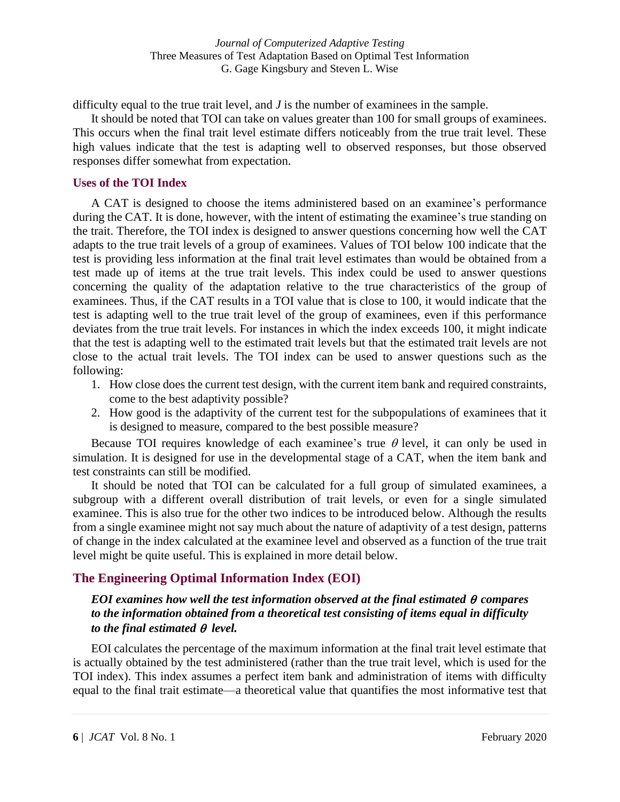difficulty equal to the true trait level, and *J* is the number of examinees in the sample.

It should be noted that TOI can take on values greater than 100 for small groups of examinees. This occurs when the final trait level estimate differs noticeably from the true trait level. These high values indicate that the test is adapting well to observed responses, but those observed responses differ somewhat from expectation.

#### **Uses of the TOI Index**

A CAT is designed to choose the items administered based on an examinee's performance during the CAT. It is done, however, with the intent of estimating the examinee's true standing on the trait. Therefore, the TOI index is designed to answer questions concerning how well the CAT adapts to the true trait levels of a group of examinees. Values of TOI below 100 indicate that the test is providing less information at the final trait level estimates than would be obtained from a test made up of items at the true trait levels. This index could be used to answer questions concerning the quality of the adaptation relative to the true characteristics of the group of examinees. Thus, if the CAT results in a TOI value that is close to 100, it would indicate that the test is adapting well to the true trait level of the group of examinees, even if this performance deviates from the true trait levels. For instances in which the index exceeds 100, it might indicate that the test is adapting well to the estimated trait levels but that the estimated trait levels are not close to the actual trait levels. The TOI index can be used to answer questions such as the following:

- 1. How close does the current test design, with the current item bank and required constraints, come to the best adaptivity possible?
- 2. How good is the adaptivity of the current test for the subpopulations of examinees that it is designed to measure, compared to the best possible measure?

Because TOI requires knowledge of each examinee's true  $\theta$  level, it can only be used in simulation. It is designed for use in the developmental stage of a CAT, when the item bank and test constraints can still be modified.

It should be noted that TOI can be calculated for a full group of simulated examinees, a subgroup with a different overall distribution of trait levels, or even for a single simulated examinee. This is also true for the other two indices to be introduced below. Although the results from a single examinee might not say much about the nature of adaptivity of a test design, patterns of change in the index calculated at the examinee level and observed as a function of the true trait level might be quite useful. This is explained in more detail below.

# **The Engineering Optimal Information Index (EOI)**

## *EOI examines how well the test information observed at the final estimated compares to the information obtained from a theoretical test consisting of items equal in difficulty to the final estimated*  $\theta$  *level.*

EOI calculates the percentage of the maximum information at the final trait level estimate that is actually obtained by the test administered (rather than the true trait level, which is used for the TOI index). This index assumes a perfect item bank and administration of items with difficulty equal to the final trait estimate—a theoretical value that quantifies the most informative test that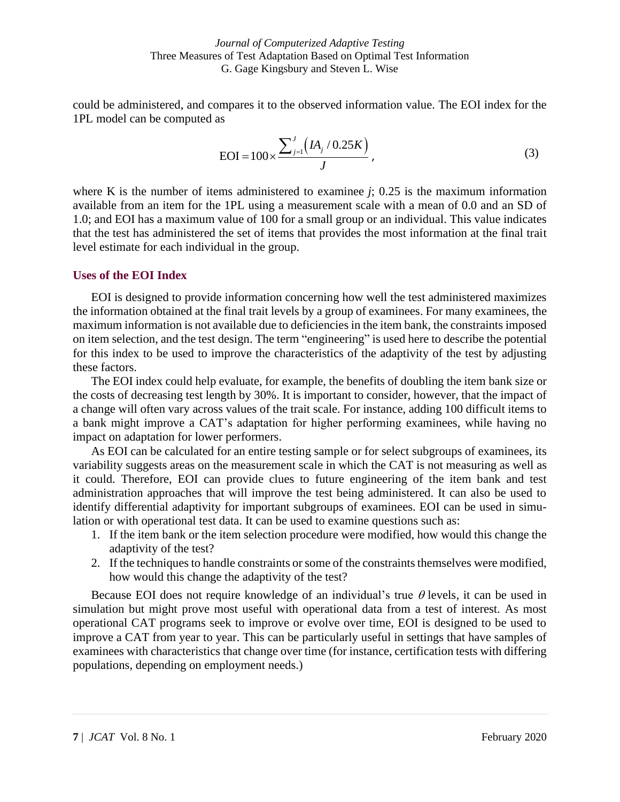could be administered, and compares it to the observed information value. The EOI index for the 1PL model can be computed as

EOI = 
$$
100 \times \frac{\sum_{j=1}^{J} (IA_j / 0.25K)}{J}
$$
, (3)

where K is the number of items administered to examinee *j*; 0.25 is the maximum information available from an item for the 1PL using a measurement scale with a mean of 0.0 and an SD of 1.0; and EOI has a maximum value of 100 for a small group or an individual. This value indicates that the test has administered the set of items that provides the most information at the final trait level estimate for each individual in the group.

#### **Uses of the EOI Index**

EOI is designed to provide information concerning how well the test administered maximizes the information obtained at the final trait levels by a group of examinees. For many examinees, the maximum information is not available due to deficiencies in the item bank, the constraints imposed on item selection, and the test design. The term "engineering" is used here to describe the potential for this index to be used to improve the characteristics of the adaptivity of the test by adjusting these factors.

The EOI index could help evaluate, for example, the benefits of doubling the item bank size or the costs of decreasing test length by 30%. It is important to consider, however, that the impact of a change will often vary across values of the trait scale. For instance, adding 100 difficult items to a bank might improve a CAT's adaptation for higher performing examinees, while having no impact on adaptation for lower performers.

As EOI can be calculated for an entire testing sample or for select subgroups of examinees, its variability suggests areas on the measurement scale in which the CAT is not measuring as well as it could. Therefore, EOI can provide clues to future engineering of the item bank and test administration approaches that will improve the test being administered. It can also be used to identify differential adaptivity for important subgroups of examinees. EOI can be used in simulation or with operational test data. It can be used to examine questions such as:

- 1. If the item bank or the item selection procedure were modified, how would this change the adaptivity of the test?
- 2. If the techniques to handle constraints or some of the constraints themselves were modified, how would this change the adaptivity of the test?

Because EOI does not require knowledge of an individual's true  $\theta$  levels, it can be used in simulation but might prove most useful with operational data from a test of interest. As most operational CAT programs seek to improve or evolve over time, EOI is designed to be used to improve a CAT from year to year. This can be particularly useful in settings that have samples of examinees with characteristics that change over time (for instance, certification tests with differing populations, depending on employment needs.)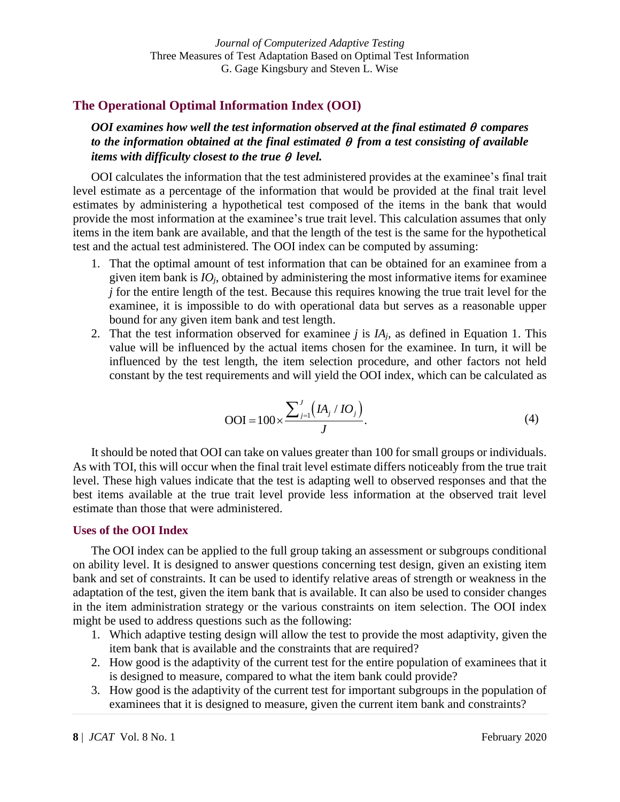## **The Operational Optimal Information Index (OOI)**

*OOI examines how well the test information observed at the final estimated compares to the information obtained at the final estimated from a test consisting of available items with difficulty closest to the true*  $\theta$  *level.* 

OOI calculates the information that the test administered provides at the examinee's final trait level estimate as a percentage of the information that would be provided at the final trait level estimates by administering a hypothetical test composed of the items in the bank that would provide the most information at the examinee's true trait level. This calculation assumes that only items in the item bank are available, and that the length of the test is the same for the hypothetical test and the actual test administered. The OOI index can be computed by assuming:

- 1. That the optimal amount of test information that can be obtained for an examinee from a given item bank is  $IO<sub>j</sub>$ , obtained by administering the most informative items for examinee *j* for the entire length of the test. Because this requires knowing the true trait level for the examinee, it is impossible to do with operational data but serves as a reasonable upper bound for any given item bank and test length.
- 2. That the test information observed for examinee  $j$  is  $IA<sub>i</sub>$ , as defined in Equation 1. This value will be influenced by the actual items chosen for the examinee. In turn, it will be influenced by the test length, the item selection procedure, and other factors not held constant by the test requirements and will yield the OOI index, which can be calculated as

$$
OOI = 100 \times \frac{\sum_{j=1}^{J} (IA_j/IO_j)}{J}.
$$
 (4)

It should be noted that OOI can take on values greater than 100 for small groups or individuals. As with TOI, this will occur when the final trait level estimate differs noticeably from the true trait level. These high values indicate that the test is adapting well to observed responses and that the best items available at the true trait level provide less information at the observed trait level estimate than those that were administered.

#### **Uses of the OOI Index**

The OOI index can be applied to the full group taking an assessment or subgroups conditional on ability level. It is designed to answer questions concerning test design, given an existing item bank and set of constraints. It can be used to identify relative areas of strength or weakness in the adaptation of the test, given the item bank that is available. It can also be used to consider changes in the item administration strategy or the various constraints on item selection. The OOI index might be used to address questions such as the following:

- 1. Which adaptive testing design will allow the test to provide the most adaptivity, given the item bank that is available and the constraints that are required?
- 2. How good is the adaptivity of the current test for the entire population of examinees that it is designed to measure, compared to what the item bank could provide?
- 3. How good is the adaptivity of the current test for important subgroups in the population of examinees that it is designed to measure, given the current item bank and constraints?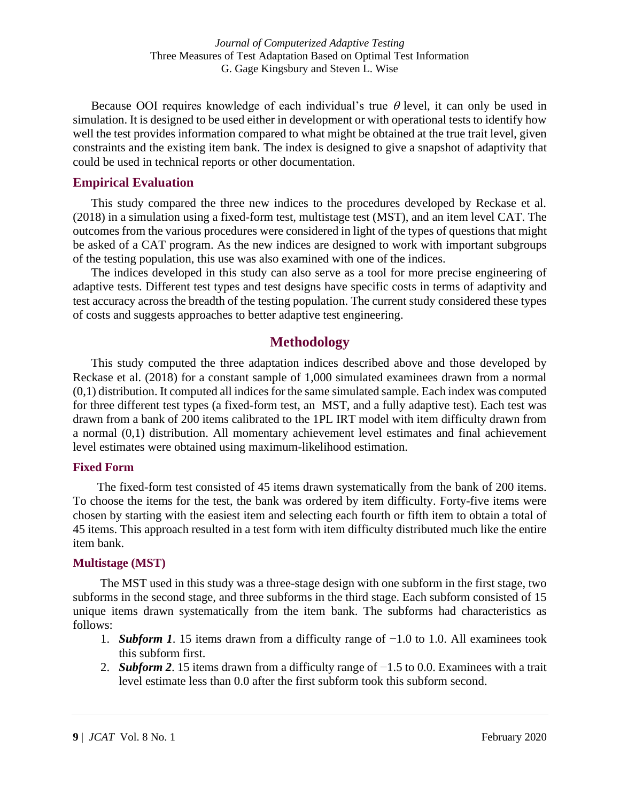Because OOI requires knowledge of each individual's true  $\theta$  level, it can only be used in simulation. It is designed to be used either in development or with operational tests to identify how well the test provides information compared to what might be obtained at the true trait level, given constraints and the existing item bank. The index is designed to give a snapshot of adaptivity that could be used in technical reports or other documentation.

#### **Empirical Evaluation**

This study compared the three new indices to the procedures developed by Reckase et al. (2018) in a simulation using a fixed-form test, multistage test (MST), and an item level CAT. The outcomes from the various procedures were considered in light of the types of questions that might be asked of a CAT program. As the new indices are designed to work with important subgroups of the testing population, this use was also examined with one of the indices.

The indices developed in this study can also serve as a tool for more precise engineering of adaptive tests. Different test types and test designs have specific costs in terms of adaptivity and test accuracy across the breadth of the testing population. The current study considered these types of costs and suggests approaches to better adaptive test engineering.

# **Methodology**

This study computed the three adaptation indices described above and those developed by Reckase et al. (2018) for a constant sample of 1,000 simulated examinees drawn from a normal (0,1) distribution. It computed all indices for the same simulated sample. Each index was computed for three different test types (a fixed-form test, an MST, and a fully adaptive test). Each test was drawn from a bank of 200 items calibrated to the 1PL IRT model with item difficulty drawn from a normal (0,1) distribution. All momentary achievement level estimates and final achievement level estimates were obtained using maximum-likelihood estimation.

#### **Fixed Form**

 The fixed-form test consisted of 45 items drawn systematically from the bank of 200 items. To choose the items for the test, the bank was ordered by item difficulty. Forty-five items were chosen by starting with the easiest item and selecting each fourth or fifth item to obtain a total of 45 items. This approach resulted in a test form with item difficulty distributed much like the entire item bank.

#### **Multistage (MST)**

The MST used in this study was a three-stage design with one subform in the first stage, two subforms in the second stage, and three subforms in the third stage. Each subform consisted of 15 unique items drawn systematically from the item bank. The subforms had characteristics as follows:

- 1. *Subform 1*. 15 items drawn from a difficulty range of −1.0 to 1.0. All examinees took this subform first.
- 2. *Subform 2*. 15 items drawn from a difficulty range of −1.5 to 0.0. Examinees with a trait level estimate less than 0.0 after the first subform took this subform second.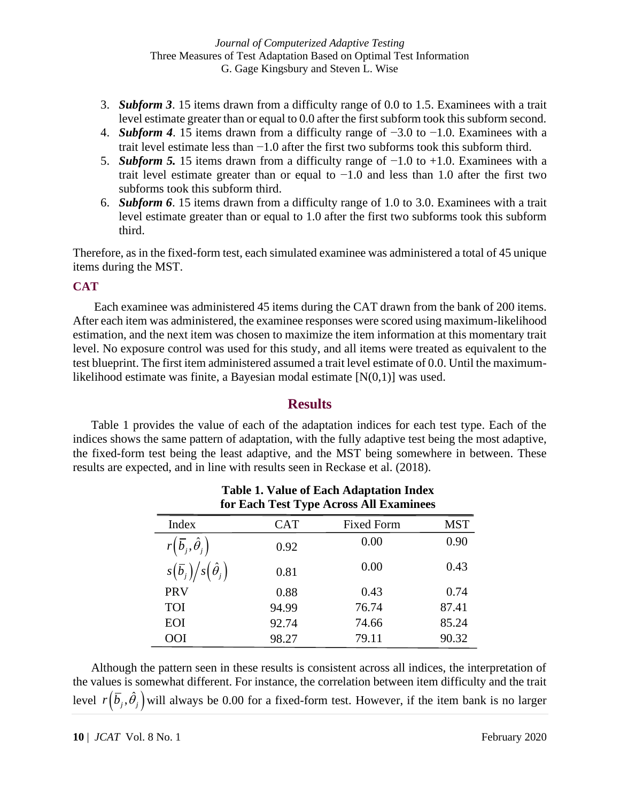- 3. *Subform 3*. 15 items drawn from a difficulty range of 0.0 to 1.5. Examinees with a trait level estimate greater than or equal to 0.0 after the first subform took this subform second.
- 4. *Subform 4*. 15 items drawn from a difficulty range of −3.0 to −1.0. Examinees with a trait level estimate less than  $-1.0$  after the first two subforms took this subform third.
- 5. *Subform 5.* 15 items drawn from a difficulty range of −1.0 to +1.0. Examinees with a trait level estimate greater than or equal to  $-1.0$  and less than 1.0 after the first two subforms took this subform third.
- 6. *Subform 6*. 15 items drawn from a difficulty range of 1.0 to 3.0. Examinees with a trait level estimate greater than or equal to 1.0 after the first two subforms took this subform third.

Therefore, as in the fixed-form test, each simulated examinee was administered a total of 45 unique items during the MST.

## **CAT**

Each examinee was administered 45 items during the CAT drawn from the bank of 200 items. After each item was administered, the examinee responses were scored using maximum-likelihood estimation, and the next item was chosen to maximize the item information at this momentary trait level. No exposure control was used for this study, and all items were treated as equivalent to the test blueprint. The first item administered assumed a trait level estimate of 0.0. Until the maximumlikelihood estimate was finite, a Bayesian modal estimate [N(0,1)] was used.

## **Results**

Table 1 provides the value of each of the adaptation indices for each test type. Each of the indices shows the same pattern of adaptation, with the fully adaptive test being the most adaptive, the fixed-form test being the least adaptive, and the MST being somewhere in between. These results are expected, and in line with results seen in Reckase et al. (2018).

**Table 1. Value of Each Adaptation Index** 

| for Each Test Type Across All Examinees       |            |                   |            |
|-----------------------------------------------|------------|-------------------|------------|
| Index                                         | <b>CAT</b> | <b>Fixed Form</b> | <b>MST</b> |
| $r\left(\overline{b}_j,\hat{\theta}_j\right)$ | 0.92       | 0.00              | 0.90       |
| $s(\bar{b}_j)/s(\hat{\theta}_j)$              | 0.81       | 0.00              | 0.43       |
| <b>PRV</b>                                    | 0.88       | 0.43              | 0.74       |
| <b>TOI</b>                                    | 94.99      | 76.74             | 87.41      |
| EOI                                           | 92.74      | 74.66             | 85.24      |
| OOI                                           | 98.27      | 79.11             | 90.32      |

Although the pattern seen in these results is consistent across all indices, the interpretation of the values is somewhat different. For instance, the correlation between item difficulty and the trait level  $r\big(\bar b_j^{},\hat\theta_j^{}\big)$  will always be 0.00 for a fixed-form test. However, if the item bank is no larger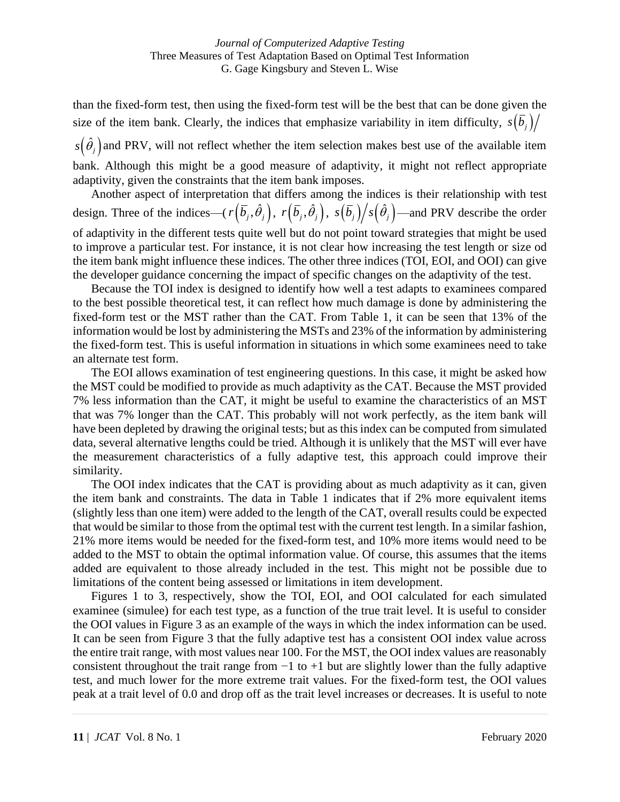than the fixed-form test, then using the fixed-form test will be the best that can be done given the size of the item bank. Clearly, the indices that emphasize variability in item difficulty,  $s(\bar{b}_i)/$ 

 $s(\hat{\theta}_j)$  and PRV, will not reflect whether the item selection makes best use of the available item bank. Although this might be a good measure of adaptivity, it might not reflect appropriate adaptivity, given the constraints that the item bank imposes.

Another aspect of interpretation that differs among the indices is their relationship with test design. Three of the indices— $(r(\bar{b}_j, \hat{\theta}_j), r(\bar{b}_j, \hat{\theta}_j), s(\bar{b}_j)/s(\hat{\theta}_j)$ —and PRV describe the order of adaptivity in the different tests quite well but do not point toward strategies that might be used to improve a particular test. For instance, it is not clear how increasing the test length or size od the item bank might influence these indices. The other three indices (TOI, EOI, and OOI) can give the developer guidance concerning the impact of specific changes on the adaptivity of the test.

Because the TOI index is designed to identify how well a test adapts to examinees compared to the best possible theoretical test, it can reflect how much damage is done by administering the fixed-form test or the MST rather than the CAT. From Table 1, it can be seen that 13% of the information would be lost by administering the MSTs and 23% of the information by administering the fixed-form test. This is useful information in situations in which some examinees need to take an alternate test form.

The EOI allows examination of test engineering questions. In this case, it might be asked how the MST could be modified to provide as much adaptivity as the CAT. Because the MST provided 7% less information than the CAT, it might be useful to examine the characteristics of an MST that was 7% longer than the CAT. This probably will not work perfectly, as the item bank will have been depleted by drawing the original tests; but as this index can be computed from simulated data, several alternative lengths could be tried. Although it is unlikely that the MST will ever have the measurement characteristics of a fully adaptive test, this approach could improve their similarity.

The OOI index indicates that the CAT is providing about as much adaptivity as it can, given the item bank and constraints. The data in Table 1 indicates that if 2% more equivalent items (slightly less than one item) were added to the length of the CAT, overall results could be expected that would be similar to those from the optimal test with the current test length. In a similar fashion, 21% more items would be needed for the fixed-form test, and 10% more items would need to be added to the MST to obtain the optimal information value. Of course, this assumes that the items added are equivalent to those already included in the test. This might not be possible due to limitations of the content being assessed or limitations in item development.

Figures 1 to 3, respectively, show the TOI, EOI, and OOI calculated for each simulated examinee (simulee) for each test type, as a function of the true trait level. It is useful to consider the OOI values in Figure 3 as an example of the ways in which the index information can be used. It can be seen from Figure 3 that the fully adaptive test has a consistent OOI index value across the entire trait range, with most values near 100. For the MST, the OOI index values are reasonably consistent throughout the trait range from  $-1$  to  $+1$  but are slightly lower than the fully adaptive test, and much lower for the more extreme trait values. For the fixed-form test, the OOI values peak at a trait level of 0.0 and drop off as the trait level increases or decreases. It is useful to note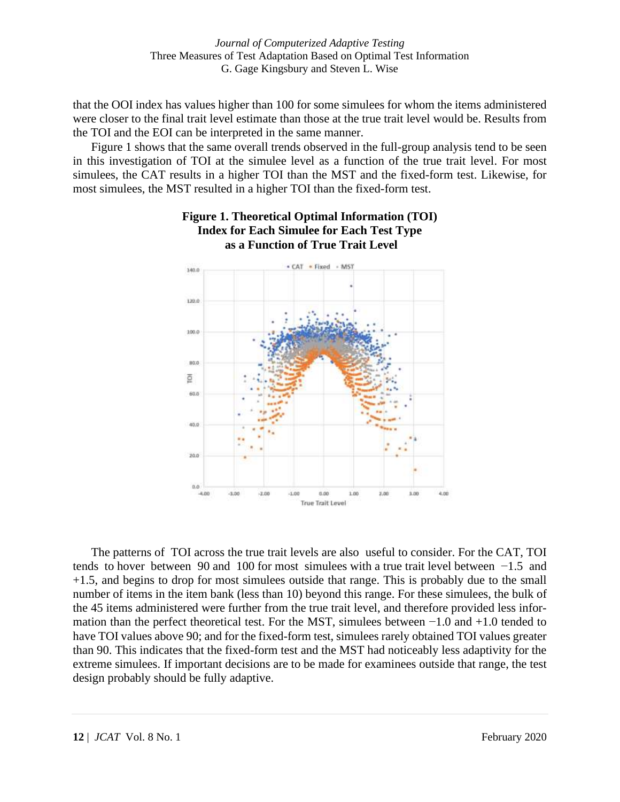that the OOI index has values higher than 100 for some simulees for whom the items administered were closer to the final trait level estimate than those at the true trait level would be. Results from the TOI and the EOI can be interpreted in the same manner.

Figure 1 shows that the same overall trends observed in the full-group analysis tend to be seen in this investigation of TOI at the simulee level as a function of the true trait level. For most simulees, the CAT results in a higher TOI than the MST and the fixed-form test. Likewise, for most simulees, the MST resulted in a higher TOI than the fixed-form test.



**Figure 1. Theoretical Optimal Information (TOI) Index for Each Simulee for Each Test Type as a Function of True Trait Level**

The patterns of TOI across the true trait levels are also useful to consider. For the CAT, TOI tends to hover between 90 and 100 for most simulees with a true trait level between −1.5 and +1.5, and begins to drop for most simulees outside that range. This is probably due to the small number of items in the item bank (less than 10) beyond this range. For these simulees, the bulk of the 45 items administered were further from the true trait level, and therefore provided less information than the perfect theoretical test. For the MST, simulees between −1.0 and +1.0 tended to have TOI values above 90; and for the fixed-form test, simulees rarely obtained TOI values greater than 90. This indicates that the fixed-form test and the MST had noticeably less adaptivity for the extreme simulees. If important decisions are to be made for examinees outside that range, the test design probably should be fully adaptive.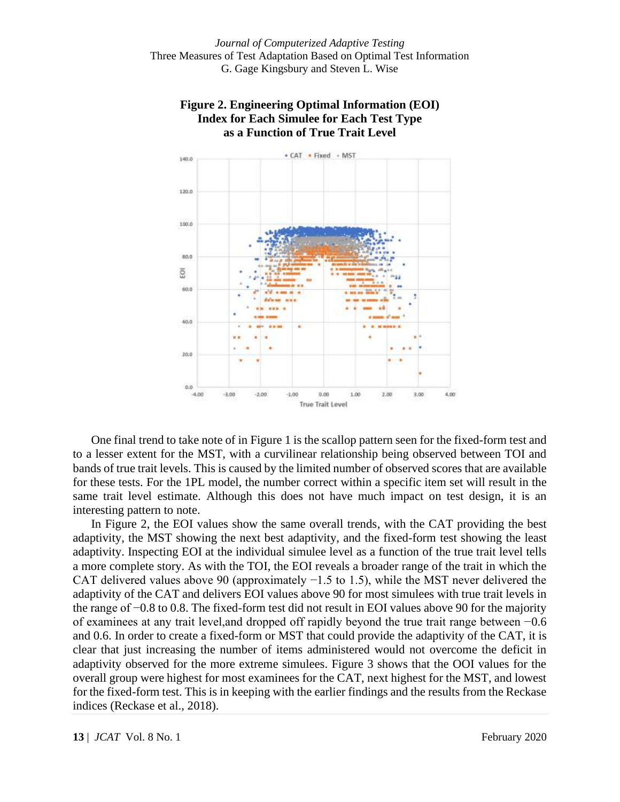



One final trend to take note of in Figure 1 is the scallop pattern seen for the fixed-form test and to a lesser extent for the MST, with a curvilinear relationship being observed between TOI and bands of true trait levels. This is caused by the limited number of observed scores that are available for these tests. For the 1PL model, the number correct within a specific item set will result in the same trait level estimate. Although this does not have much impact on test design, it is an interesting pattern to note.

In Figure 2, the EOI values show the same overall trends, with the CAT providing the best adaptivity, the MST showing the next best adaptivity, and the fixed-form test showing the least adaptivity. Inspecting EOI at the individual simulee level as a function of the true trait level tells a more complete story. As with the TOI, the EOI reveals a broader range of the trait in which the CAT delivered values above 90 (approximately  $-1.5$  to 1.5), while the MST never delivered the adaptivity of the CAT and delivers EOI values above 90 for most simulees with true trait levels in the range of −0.8 to 0.8. The fixed-form test did not result in EOI values above 90 for the majority of examinees at any trait level,and dropped off rapidly beyond the true trait range between −0.6 and 0.6. In order to create a fixed-form or MST that could provide the adaptivity of the CAT, it is clear that just increasing the number of items administered would not overcome the deficit in adaptivity observed for the more extreme simulees. Figure 3 shows that the OOI values for the overall group were highest for most examinees for the CAT, next highest for the MST, and lowest for the fixed-form test. This is in keeping with the earlier findings and the results from the Reckase indices (Reckase et al., 2018).

**13** | *JCAT* Vol. 8 No. 1 February 2020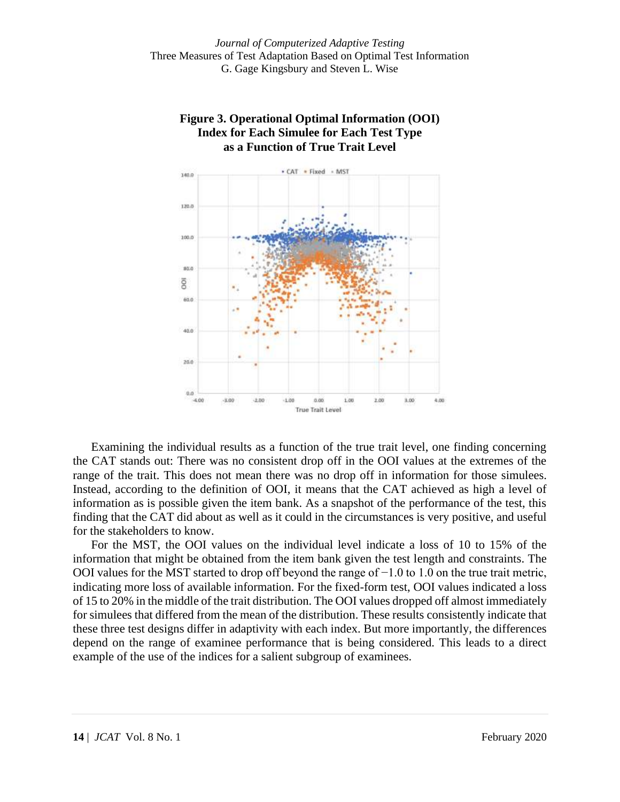



Examining the individual results as a function of the true trait level, one finding concerning the CAT stands out: There was no consistent drop off in the OOI values at the extremes of the range of the trait. This does not mean there was no drop off in information for those simulees. Instead, according to the definition of OOI, it means that the CAT achieved as high a level of information as is possible given the item bank. As a snapshot of the performance of the test, this finding that the CAT did about as well as it could in the circumstances is very positive, and useful for the stakeholders to know.

For the MST, the OOI values on the individual level indicate a loss of 10 to 15% of the information that might be obtained from the item bank given the test length and constraints. The OOI values for the MST started to drop off beyond the range of −1.0 to 1.0 on the true trait metric, indicating more loss of available information. For the fixed-form test, OOI values indicated a loss of 15 to 20% in the middle of the trait distribution. The OOI values dropped off almost immediately for simulees that differed from the mean of the distribution. These results consistently indicate that these three test designs differ in adaptivity with each index. But more importantly, the differences depend on the range of examinee performance that is being considered. This leads to a direct example of the use of the indices for a salient subgroup of examinees.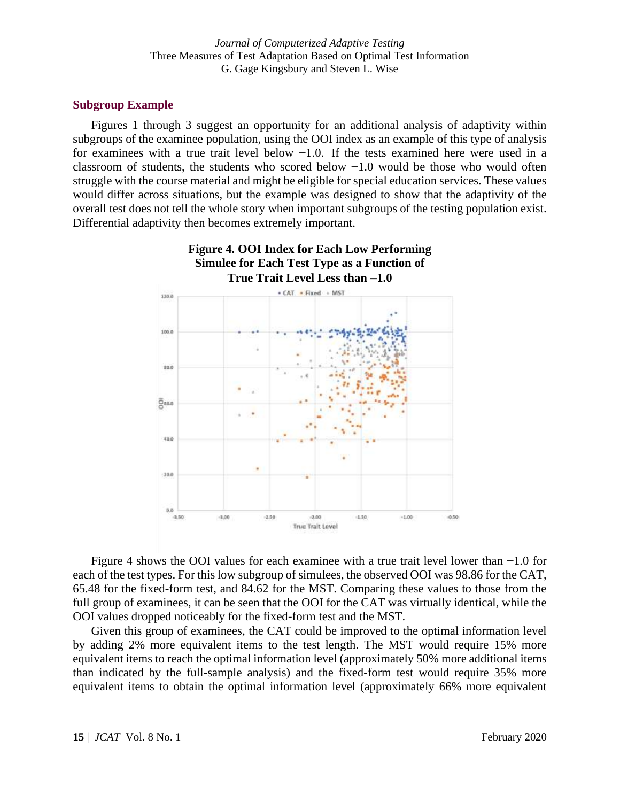#### **Subgroup Example**

Figures 1 through 3 suggest an opportunity for an additional analysis of adaptivity within subgroups of the examinee population, using the OOI index as an example of this type of analysis for examinees with a true trait level below  $-1.0$ . If the tests examined here were used in a classroom of students, the students who scored below −1.0 would be those who would often struggle with the course material and might be eligible for special education services. These values would differ across situations, but the example was designed to show that the adaptivity of the overall test does not tell the whole story when important subgroups of the testing population exist. Differential adaptivity then becomes extremely important.



**Figure 4. OOI Index for Each Low Performing** 

Figure 4 shows the OOI values for each examinee with a true trait level lower than −1.0 for each of the test types. For this low subgroup of simulees, the observed OOI was 98.86 for the CAT, 65.48 for the fixed-form test, and 84.62 for the MST. Comparing these values to those from the full group of examinees, it can be seen that the OOI for the CAT was virtually identical, while the OOI values dropped noticeably for the fixed-form test and the MST.

Given this group of examinees, the CAT could be improved to the optimal information level by adding 2% more equivalent items to the test length. The MST would require 15% more equivalent items to reach the optimal information level (approximately 50% more additional items than indicated by the full-sample analysis) and the fixed-form test would require 35% more equivalent items to obtain the optimal information level (approximately 66% more equivalent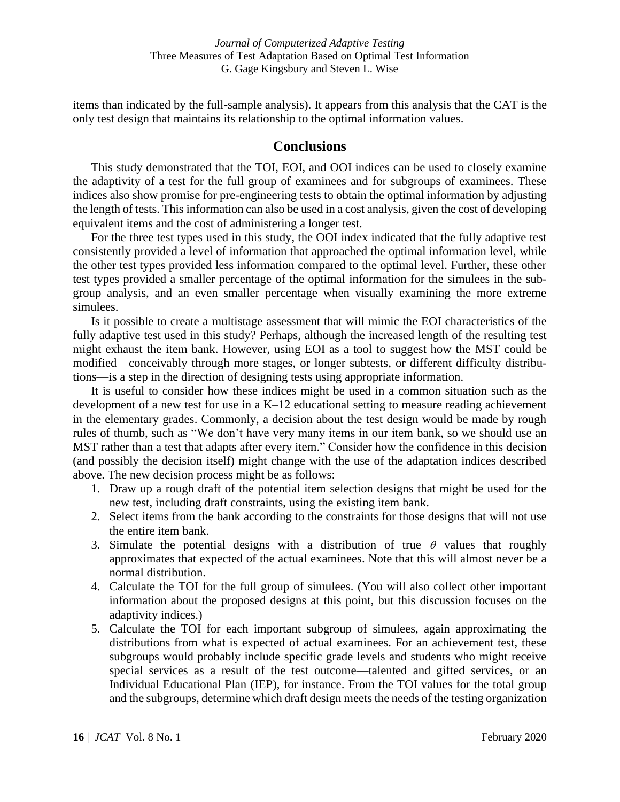items than indicated by the full-sample analysis). It appears from this analysis that the CAT is the only test design that maintains its relationship to the optimal information values.

# **Conclusions**

This study demonstrated that the TOI, EOI, and OOI indices can be used to closely examine the adaptivity of a test for the full group of examinees and for subgroups of examinees. These indices also show promise for pre-engineering tests to obtain the optimal information by adjusting the length of tests. This information can also be used in a cost analysis, given the cost of developing equivalent items and the cost of administering a longer test.

For the three test types used in this study, the OOI index indicated that the fully adaptive test consistently provided a level of information that approached the optimal information level, while the other test types provided less information compared to the optimal level. Further, these other test types provided a smaller percentage of the optimal information for the simulees in the subgroup analysis, and an even smaller percentage when visually examining the more extreme simulees.

Is it possible to create a multistage assessment that will mimic the EOI characteristics of the fully adaptive test used in this study? Perhaps, although the increased length of the resulting test might exhaust the item bank. However, using EOI as a tool to suggest how the MST could be modified—conceivably through more stages, or longer subtests, or different difficulty distributions—is a step in the direction of designing tests using appropriate information.

It is useful to consider how these indices might be used in a common situation such as the development of a new test for use in a K–12 educational setting to measure reading achievement in the elementary grades. Commonly, a decision about the test design would be made by rough rules of thumb, such as "We don't have very many items in our item bank, so we should use an MST rather than a test that adapts after every item." Consider how the confidence in this decision (and possibly the decision itself) might change with the use of the adaptation indices described above. The new decision process might be as follows:

- 1. Draw up a rough draft of the potential item selection designs that might be used for the new test, including draft constraints, using the existing item bank.
- 2. Select items from the bank according to the constraints for those designs that will not use the entire item bank.
- 3. Simulate the potential designs with a distribution of true  $\theta$  values that roughly approximates that expected of the actual examinees. Note that this will almost never be a normal distribution.
- 4. Calculate the TOI for the full group of simulees. (You will also collect other important information about the proposed designs at this point, but this discussion focuses on the adaptivity indices.)
- 5. Calculate the TOI for each important subgroup of simulees, again approximating the distributions from what is expected of actual examinees. For an achievement test, these subgroups would probably include specific grade levels and students who might receive special services as a result of the test outcome—talented and gifted services, or an Individual Educational Plan (IEP), for instance. From the TOI values for the total group and the subgroups, determine which draft design meets the needs of the testing organization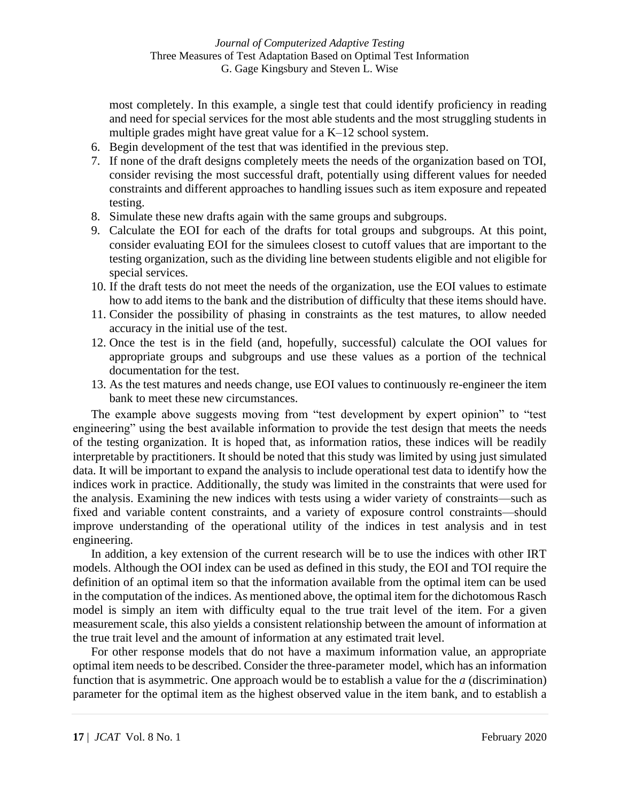most completely. In this example, a single test that could identify proficiency in reading and need for special services for the most able students and the most struggling students in multiple grades might have great value for a K–12 school system.

- 6. Begin development of the test that was identified in the previous step.
- 7. If none of the draft designs completely meets the needs of the organization based on TOI, consider revising the most successful draft, potentially using different values for needed constraints and different approaches to handling issues such as item exposure and repeated testing.
- 8. Simulate these new drafts again with the same groups and subgroups.
- 9. Calculate the EOI for each of the drafts for total groups and subgroups. At this point, consider evaluating EOI for the simulees closest to cutoff values that are important to the testing organization, such as the dividing line between students eligible and not eligible for special services.
- 10. If the draft tests do not meet the needs of the organization, use the EOI values to estimate how to add items to the bank and the distribution of difficulty that these items should have.
- 11. Consider the possibility of phasing in constraints as the test matures, to allow needed accuracy in the initial use of the test.
- 12. Once the test is in the field (and, hopefully, successful) calculate the OOI values for appropriate groups and subgroups and use these values as a portion of the technical documentation for the test.
- 13. As the test matures and needs change, use EOI values to continuously re-engineer the item bank to meet these new circumstances.

The example above suggests moving from "test development by expert opinion" to "test engineering" using the best available information to provide the test design that meets the needs of the testing organization. It is hoped that, as information ratios, these indices will be readily interpretable by practitioners. It should be noted that this study was limited by using just simulated data. It will be important to expand the analysis to include operational test data to identify how the indices work in practice. Additionally, the study was limited in the constraints that were used for the analysis. Examining the new indices with tests using a wider variety of constraints—such as fixed and variable content constraints, and a variety of exposure control constraints—should improve understanding of the operational utility of the indices in test analysis and in test engineering.

In addition, a key extension of the current research will be to use the indices with other IRT models. Although the OOI index can be used as defined in this study, the EOI and TOI require the definition of an optimal item so that the information available from the optimal item can be used in the computation of the indices. As mentioned above, the optimal item for the dichotomous Rasch model is simply an item with difficulty equal to the true trait level of the item. For a given measurement scale, this also yields a consistent relationship between the amount of information at the true trait level and the amount of information at any estimated trait level.

For other response models that do not have a maximum information value, an appropriate optimal item needs to be described. Consider the three-parameter model, which has an information function that is asymmetric. One approach would be to establish a value for the *a* (discrimination) parameter for the optimal item as the highest observed value in the item bank, and to establish a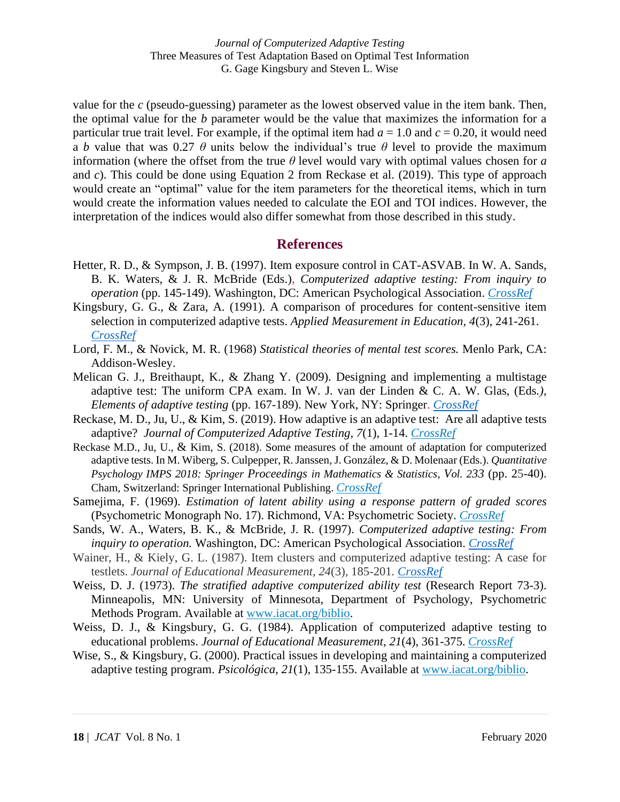*Journal of Computerized Adaptive Testing* Three Measures of Test Adaptation Based on Optimal Test Information G. Gage Kingsbury and Steven L. Wise

value for the *c* (pseudo-guessing) parameter as the lowest observed value in the item bank. Then, the optimal value for the *b* parameter would be the value that maximizes the information for a particular true trait level. For example, if the optimal item had  $a = 1.0$  and  $c = 0.20$ , it would need a *b* value that was 0.27  $\theta$  units below the individual's true  $\theta$  level to provide the maximum information (where the offset from the true *θ* level would vary with optimal values chosen for *a* and *c*). This could be done using Equation 2 from Reckase et al. (2019). This type of approach would create an "optimal" value for the item parameters for the theoretical items, which in turn would create the information values needed to calculate the EOI and TOI indices. However, the interpretation of the indices would also differ somewhat from those described in this study.

#### **References**

- Hetter, R. D., & Sympson, J. B. (1997). Item exposure control in CAT-ASVAB. In W. A. Sands, B. K. Waters, & J. R. McBride (Eds.), *Computerized adaptive testing: From inquiry to operation* (pp. 145-149). Washington, DC: American Psychological Association. *[CrossRef](https://doi.org/10.1037/10244-014)*
- Kingsbury, G. G., & Zara, A. (1991). A comparison of procedures for content-sensitive item selection in computerized adaptive tests. *Applied Measurement in Education, 4*(3), 241-261. *[CrossRef](https://doi.org/10.1207/s15324818ame0403_4/)*
- Lord, F. M., & Novick, M. R. (1968) *Statistical theories of mental test scores.* Menlo Park, CA: Addison-Wesley.
- Melican G. J., Breithaupt, K., & Zhang Y. (2009). Designing and implementing a multistage adaptive test: The uniform CPA exam. In W. J. van der Linden & C. A. W. Glas, (Eds*.), Elements of adaptive testing* (pp. 167-189). New York, NY: Springer. *[CrossRef](https://doi.org/10.1007/978-0-387-85461-8_9)*
- Reckase, M. D., Ju, U., & Kim, S. (2019). How adaptive is an adaptive test: Are all adaptive tests adaptive? *Journal of Computerized Adaptive Testing*, *7*(1), 1-14. *[CrossRef](https://doi.org/10.7333/1902-0701001)*
- Reckase M.D., Ju, U., & Kim, S. (2018). Some measures of the amount of adaptation for computerized adaptive tests. In M. Wiberg, S. Culpepper, R. Janssen, J. González, & D. Molenaar (Eds.). *Quantitative Psychology IMPS 2018: Springer Proceedings in Mathematics & Statistics, Vol. 233* (pp. 25-40). Cham, Switzerland: Springer International Publishing. *[CrossRef](https://doi.org/10.1007/978-3-319-77249-3_3)*
- Samejima, F. (1969). *Estimation of latent ability using a response pattern of graded scores* (Psychometric Monograph No. 17). Richmond, VA: Psychometric Society. *[CrossRef](https://doi.org/10.1007/BF03372160)*
- Sands, W. A., Waters, B. K., & McBride, J. R. (1997). *Computerized adaptive testing: From inquiry to operation.* Washington, DC: American Psychological Association. *[CrossRef](https://doi.org/10.1037/10244-000)*
- Wainer, H., & Kiely, G. L. (1987). Item clusters and computerized adaptive testing: A case for testlets. *Journal of Educational Measurement, 24*(3)*,* 185-201*. [CrossRef](https://doi.org/10.1111/j.1745-3984.1987.tb00274.x)*
- Weiss, D. J. (1973). *The stratified adaptive computerized ability test* (Research Report 73-3). Minneapolis, MN: University of Minnesota, Department of Psychology, Psychometric Methods Program. Available at [www.iacat.org/biblio.](http://www.iacat.org/biblio)
- Weiss, D. J., & Kingsbury, G. G. (1984). Application of computerized adaptive testing to educational problems. *Journal of Educational Measurement*, *21*(4), 361-375. *[CrossRef](https://doi.org/10.1111/j.1745-3984.1984.tb01040.x)*
- Wise, S., & Kingsbury, G. (2000). Practical issues in developing and maintaining a computerized adaptive testing program. *Psicológica, 21*(1), 135-155. Available at [www.iacat.org/biblio.](http://www.iacat.org/biblio)